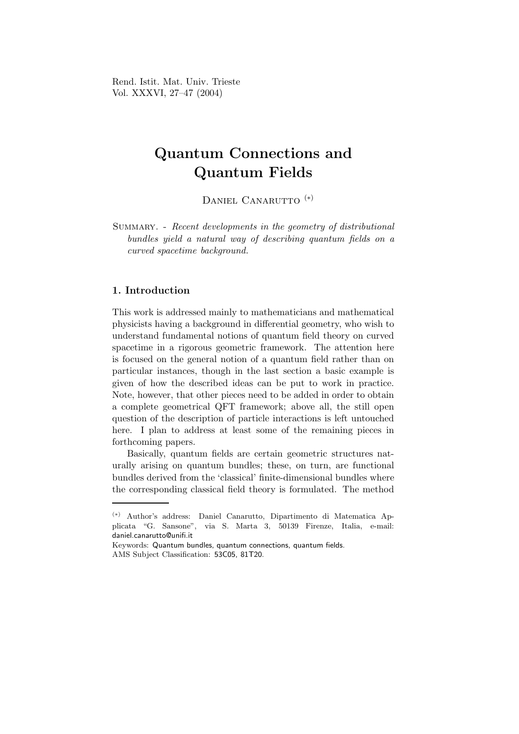Rend. Istit. Mat. Univ. Trieste Vol. XXXVI, 27–47 (2004)

# Quantum Connections and Quantum Fields

DANIEL CANARUTTO<sup>(\*)</sup>

SUMMARY. - Recent developments in the geometry of distributional bundles yield a natural way of describing quantum fields on a curved spacetime background.

## 1. Introduction

This work is addressed mainly to mathematicians and mathematical physicists having a background in differential geometry, who wish to understand fundamental notions of quantum field theory on curved spacetime in a rigorous geometric framework. The attention here is focused on the general notion of a quantum field rather than on particular instances, though in the last section a basic example is given of how the described ideas can be put to work in practice. Note, however, that other pieces need to be added in order to obtain a complete geometrical QFT framework; above all, the still open question of the description of particle interactions is left untouched here. I plan to address at least some of the remaining pieces in forthcoming papers.

Basically, quantum fields are certain geometric structures naturally arising on quantum bundles; these, on turn, are functional bundles derived from the 'classical' finite-dimensional bundles where the corresponding classical field theory is formulated. The method

<sup>(</sup>∗) Author's address: Daniel Canarutto, Dipartimento di Matematica Applicata "G. Sansone", via S. Marta 3, 50139 Firenze, Italia, e-mail: daniel.canarutto@unifi.it

Keywords: Quantum bundles, quantum connections, quantum fields. AMS Subject Classification: 53C05, 81T20.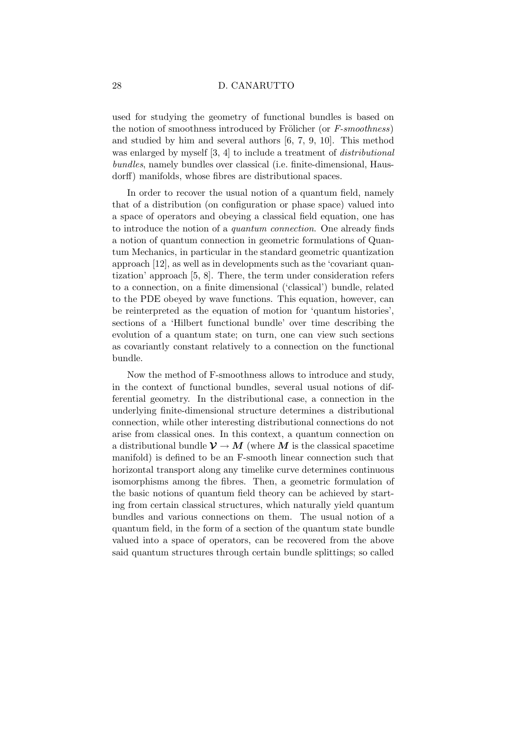used for studying the geometry of functional bundles is based on the notion of smoothness introduced by Frölicher (or  $F\text{-}smoothness$ ) and studied by him and several authors [6, 7, 9, 10]. This method was enlarged by myself [3, 4] to include a treatment of distributional bundles, namely bundles over classical (i.e. finite-dimensional, Hausdorff) manifolds, whose fibres are distributional spaces.

In order to recover the usual notion of a quantum field, namely that of a distribution (on configuration or phase space) valued into a space of operators and obeying a classical field equation, one has to introduce the notion of a quantum connection. One already finds a notion of quantum connection in geometric formulations of Quantum Mechanics, in particular in the standard geometric quantization approach [12], as well as in developments such as the 'covariant quantization' approach [5, 8]. There, the term under consideration refers to a connection, on a finite dimensional ('classical') bundle, related to the PDE obeyed by wave functions. This equation, however, can be reinterpreted as the equation of motion for 'quantum histories', sections of a 'Hilbert functional bundle' over time describing the evolution of a quantum state; on turn, one can view such sections as covariantly constant relatively to a connection on the functional bundle.

Now the method of F-smoothness allows to introduce and study, in the context of functional bundles, several usual notions of differential geometry. In the distributional case, a connection in the underlying finite-dimensional structure determines a distributional connection, while other interesting distributional connections do not arise from classical ones. In this context, a quantum connection on a distributional bundle  $\mathcal{V} \to M$  (where M is the classical spacetime manifold) is defined to be an F-smooth linear connection such that horizontal transport along any timelike curve determines continuous isomorphisms among the fibres. Then, a geometric formulation of the basic notions of quantum field theory can be achieved by starting from certain classical structures, which naturally yield quantum bundles and various connections on them. The usual notion of a quantum field, in the form of a section of the quantum state bundle valued into a space of operators, can be recovered from the above said quantum structures through certain bundle splittings; so called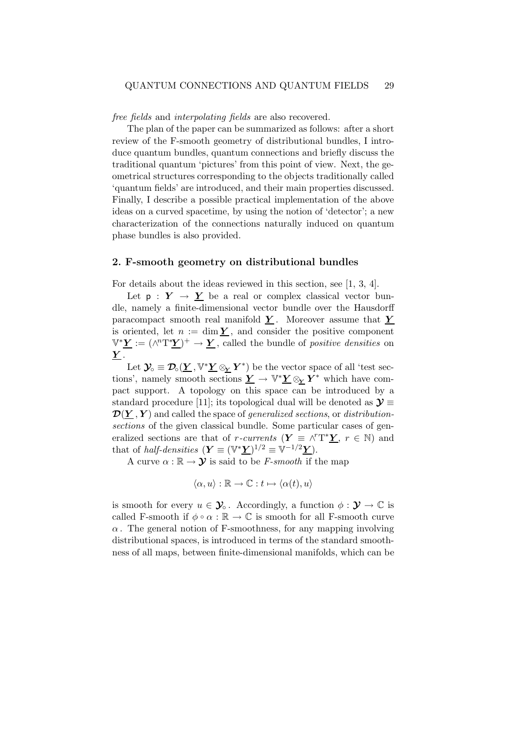free fields and interpolating fields are also recovered.

The plan of the paper can be summarized as follows: after a short review of the F-smooth geometry of distributional bundles, I introduce quantum bundles, quantum connections and briefly discuss the traditional quantum 'pictures' from this point of view. Next, the geometrical structures corresponding to the objects traditionally called 'quantum fields' are introduced, and their main properties discussed. Finally, I describe a possible practical implementation of the above ideas on a curved spacetime, by using the notion of 'detector'; a new characterization of the connections naturally induced on quantum phase bundles is also provided.

## 2. F-smooth geometry on distributional bundles

For details about the ideas reviewed in this section, see [1, 3, 4].

Let  $p : Y \rightarrow Y$  be a real or complex classical vector bundle, namely a finite-dimensional vector bundle over the Hausdorff paracompact smooth real manifold  $Y$ . Moreover assume that  $Y$ is oriented, let  $n := \dim Y$ , and consider the positive component  $\mathbb{V}^* \underline{\mathbf{Y}} := (\wedge^n T^* \underline{\mathbf{Y}})^+ \to \underline{\mathbf{Y}}$ , called the bundle of *positive densities* on  $\underline{Y}$ .

Let  $\mathcal{Y}_0 \equiv \mathcal{D}_0(\underline{Y}, \mathbb{V}^* \underline{Y} \otimes_{\underline{Y}} Y^*)$  be the vector space of all 'test sections', namely smooth sections  $\underline{Y} \to \mathbb{V}^* \underline{Y} \otimes_{\underline{Y}} Y^*$  which have compact support. A topology on this space can be introduced by a standard procedure [11]; its topological dual will be denoted as  $\mathbf{y} \equiv$  $\mathcal{D}(\underline{Y}, Y)$  and called the space of *generalized sections*, or *distribution*sections of the given classical bundle. Some particular cases of generalized sections are that of *r*-currents  $(Y \equiv \wedge^r T^*Y, r \in \mathbb{N})$  and that of *half-densities*  $(\mathbf{Y} \equiv (\mathbb{V}^* \underline{\mathbf{Y}})^{1/2} \equiv \mathbb{V}^{-1/2} \underline{\mathbf{Y}})$ .

A curve  $\alpha : \mathbb{R} \to \mathcal{Y}$  is said to be *F-smooth* if the map

$$
\langle \alpha, u \rangle : \mathbb{R} \to \mathbb{C} : t \mapsto \langle \alpha(t), u \rangle
$$

is smooth for every  $u \in \mathcal{Y}_o$ . Accordingly, a function  $\phi : \mathcal{Y} \to \mathbb{C}$  is called F-smooth if  $\phi \circ \alpha : \mathbb{R} \to \mathbb{C}$  is smooth for all F-smooth curve  $\alpha$ . The general notion of F-smoothness, for any mapping involving distributional spaces, is introduced in terms of the standard smoothness of all maps, between finite-dimensional manifolds, which can be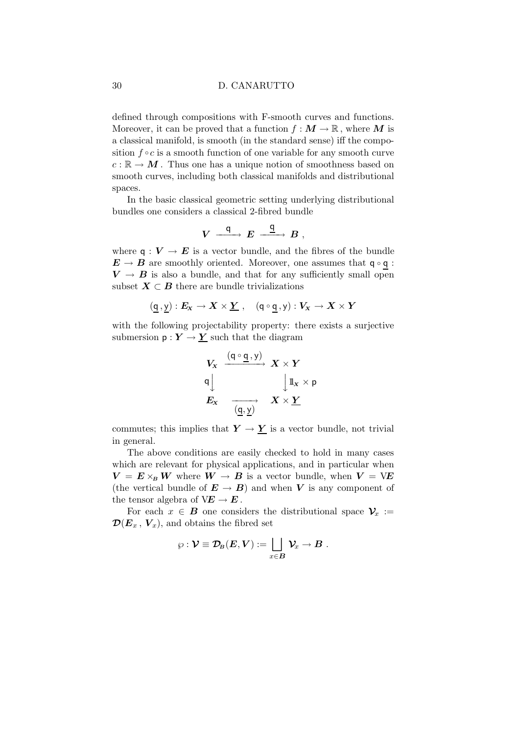defined through compositions with F-smooth curves and functions. Moreover, it can be proved that a function  $f : M \to \mathbb{R}$ , where M is a classical manifold, is smooth (in the standard sense) iff the composition  $f \circ c$  is a smooth function of one variable for any smooth curve  $c : \mathbb{R} \to M$ . Thus one has a unique notion of smoothness based on smooth curves, including both classical manifolds and distributional spaces.

In the basic classical geometric setting underlying distributional bundles one considers a classical 2-fibred bundle

$$
V \stackrel{\mathsf{q}}{\xrightarrow{\hspace*{1cm}}} E \stackrel{\underline{\mathsf{q}}}{\xrightarrow{\hspace*{1cm}}} B \ ,
$$

where  $q: V \to E$  is a vector bundle, and the fibres of the bundle  $\mathbf{E} \to \mathbf{B}$  are smoothly oriented. Moreover, one assumes that  $\mathbf{q} \circ \mathbf{q}$ :  $V \rightarrow B$  is also a bundle, and that for any sufficiently small open subset  $X \subset B$  there are bundle trivializations

$$
(\underline{q}\,,\underline{y}):E_x\to X\times \underline{Y}\;,\quad (\mathsf{q}\circ\underline{\mathsf{q}}\,,\mathsf{y}):V_x\to X\times Y
$$

with the following projectability property: there exists a surjective submersion  $p: Y \to Y$  such that the diagram

$$
V_X \xrightarrow{(q \circ \underline{q}, y)} X \times Y
$$
  
q  

$$
E_X \xrightarrow{\underline{q}, y} X \times \underline{Y}
$$
  

$$
E_X \xrightarrow{\underline{q}, \underline{y}} X \times \underline{Y}
$$

commutes; this implies that  $Y \to Y$  is a vector bundle, not trivial in general.

The above conditions are easily checked to hold in many cases which are relevant for physical applications, and in particular when  $V = E \times_B W$  where  $W \to B$  is a vector bundle, when  $V = VE$ (the vertical bundle of  $E \to B$ ) and when V is any component of the tensor algebra of  $VE \rightarrow E$ .

For each  $x \in B$  one considers the distributional space  $\mathcal{V}_x :=$  $\mathcal{D}(E_x, V_x)$ , and obtains the fibred set

$$
\wp : \mathcal{V} \equiv \mathcal{D}_B(E, V) := \bigsqcup_{x \in B} \mathcal{V}_x \to B.
$$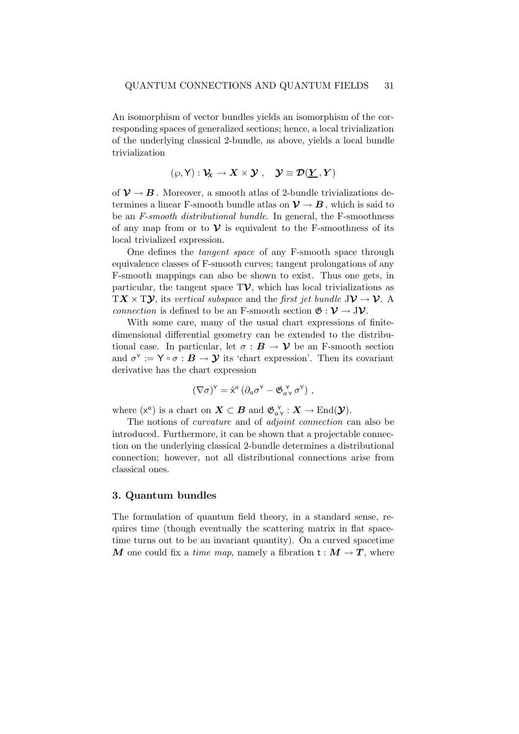An isomorphism of vector bundles yields an isomorphism of the corresponding spaces of generalized sections; hence, a local trivialization of the underlying classical 2-bundle, as above, yields a local bundle trivialization

$$
(\wp, Y) : \mathcal{V}_x \to X \times \mathcal{Y} \ , \quad \mathcal{Y} \equiv \mathcal{D}(\underline{Y}\, , Y)
$$

of  $\mathcal{V} \to \mathcal{B}$ . Moreover, a smooth atlas of 2-bundle trivializations determines a linear F-smooth bundle atlas on  $\mathcal{V} \to B$ , which is said to be an F-smooth distributional bundle. In general, the F-smoothness of any map from or to  $\mathcal V$  is equivalent to the F-smoothness of its local trivialized expression.

One defines the tangent space of any F-smooth space through equivalence classes of F-smooth curves; tangent prolongations of any F-smooth mappings can also be shown to exist. Thus one gets, in particular, the tangent space  $T\mathcal{V}$ , which has local trivializations as  $TX \times T\mathcal{Y}$ , its vertical subspace and the first jet bundle  $J\mathcal{V} \rightarrow \mathcal{V}$ . A connection is defined to be an F-smooth section  $\mathfrak{G} : \mathcal{V} \to J\mathcal{V}$ .

With some care, many of the usual chart expressions of finitedimensional differential geometry can be extended to the distributional case. In particular, let  $\sigma : \mathbf{B} \to \mathcal{V}$  be an F-smooth section and  $\sigma^Y := \mathsf{Y} \circ \sigma : \mathbf{B} \to \mathbf{Y}$  its 'chart expression'. Then its covariant derivative has the chart expression

$$
(\nabla \sigma)^{\mathsf{Y}} = \dot{\mathsf{x}}^a \left( \partial_a \sigma^{\mathsf{Y}} - \mathfrak{G}_{a\mathsf{Y}}^{\mathsf{Y}} \sigma^{\mathsf{Y}} \right) ,
$$

where  $(x^a)$  is a chart on  $\mathbf{X} \subset \mathbf{B}$  and  $\mathfrak{G}_{a\gamma}^{\gamma} : \mathbf{X} \to \text{End}(\mathbf{\mathcal{Y}})$ .

The notions of curvature and of adjoint connection can also be introduced. Furthermore, it can be shown that a projectable connection on the underlying classical 2-bundle determines a distributional connection; however, not all distributional connections arise from classical ones.

## 3. Quantum bundles

The formulation of quantum field theory, in a standard sense, requires time (though eventually the scattering matrix in flat spacetime turns out to be an invariant quantity). On a curved spacetime M one could fix a time map, namely a fibration  $t : M \to T$ , where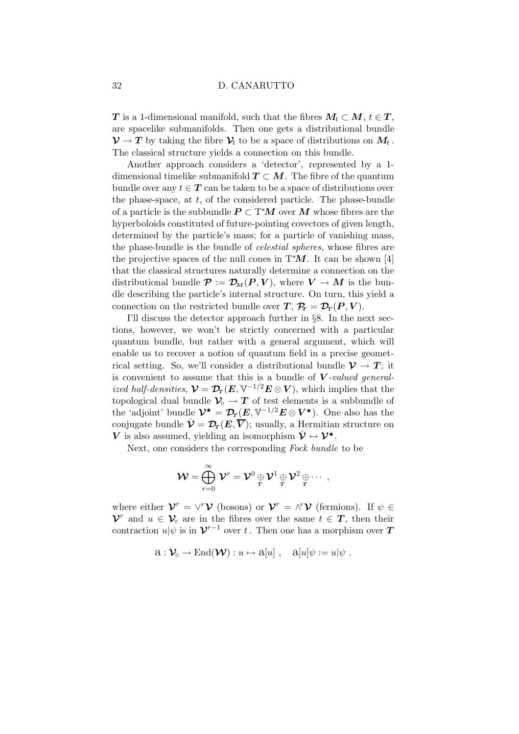**T** is a 1-dimensional manifold, such that the fibres  $M_t \subset M$ ,  $t \in T$ , are spacelike submanifolds. Then one gets a distributional bundle  $\mathcal{V} \to T$  by taking the fibre  $\mathcal{V}_t$  to be a space of distributions on  $M_t$ . The classical structure yields a connection on this bundle.

Another approach considers a 'detector', represented by a 1 dimensional timelike submanifold  $T \subset M$ . The fibre of the quantum bundle over any  $t \in T$  can be taken to be a space of distributions over the phase-space, at  $t$ , of the considered particle. The phase-bundle of a particle is the subbundle  $P \subset T^*M$  over  $M$  whose fibres are the hyperboloids constituted of future-pointing covectors of given length, determined by the particle's mass; for a particle of vanishing mass, the phase-bundle is the bundle of celestial spheres, whose fibres are the projective spaces of the null cones in  $T^*M$ . It can be shown [4] that the classical structures naturally determine a connection on the distributional bundle  $\mathcal{P} := \mathcal{D}_M(P, V)$ , where  $V \to M$  is the bundle describing the particle's internal structure. On turn, this yield a connection on the restricted bundle over  $T, \mathcal{P}_T = \mathcal{D}_T(P, V)$ .

I'll discuss the detector approach further in §8. In the next sections, however, we won't be strictly concerned with a particular quantum bundle, but rather with a general argument, which will enable us to recover a notion of quantum field in a precise geometrical setting. So, we'll consider a distributional bundle  $\mathcal{V} \to T$ ; it is convenient to assume that this is a bundle of  $V$ -valued generalized half-densities,  $\mathcal{V} = \mathcal{D}_T(E, \mathbb{V}^{-1/2}E \otimes V)$ , which implies that the topological dual bundle  $\mathcal{V} \rightarrow T$  of test elements is a subbundle of the 'adjoint' bundle  $\mathcal{V}^{\star} = \mathcal{D}_{\mathcal{I}}(E, \mathbb{V}^{-1/2}E \otimes V^{\star})$ . One also has the conjugate bundle  $\bar{\mathbf{V}} = \mathcal{D}_T(E, \overline{V})$ ; usually, a Hermitian structure on  $V$  is also assumed, yielding an isomorphism  $\bar{\mathcal{V}} \leftrightarrow \mathcal{V}^*$ .

Next, one considers the corresponding Fock bundle to be

$$
\mathcal{W} = \bigoplus_{r=0}^{\infty} \mathcal{V}^r = \mathcal{V}^0 \underset{T}{\oplus} \mathcal{V}^1 \underset{T}{\oplus} \mathcal{V}^2 \underset{T}{\oplus} \cdots,
$$

where either  $\mathcal{V}^r = \vee^r \mathcal{V}$  (bosons) or  $\mathcal{V}^r = \wedge^r \mathcal{V}$  (fermions). If  $\psi \in$  $\mathcal{V}^r$  and  $u \in \mathcal{V}^{\circ}$  are in the fibres over the same  $t \in \mathcal{T}$ , then their contraction  $u|\psi$  is in  $\mathcal{V}^{r-1}$  over t. Then one has a morphism over  $\boldsymbol{T}$ 

$$
a: \mathcal{V}_\circ \to \text{End}(\mathcal{W}): u \mapsto a[u] \; , \quad a[u] \psi := u|\psi \; .
$$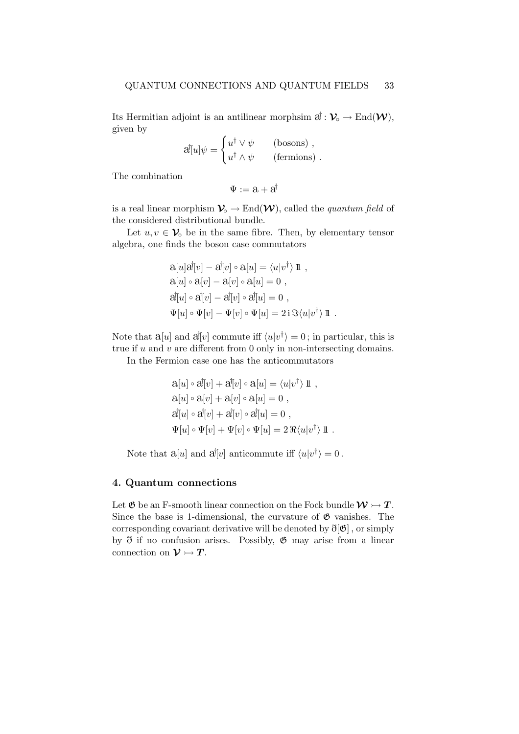Its Hermitian adjoint is an antilinear morphsim  $\mathbf{d} : \mathcal{V} \to \text{End}(\mathcal{W}),$ given by

$$
\mathbf{a}^{\dagger}[u]\psi = \begin{cases} u^{\dagger} \vee \psi & \text{(bosons)} ,\\ u^{\dagger} \wedge \psi & \text{(fermions)} . \end{cases}
$$

The combination

$$
\Psi:=a+a^\dagger
$$

is a real linear morphism  $\mathcal{V}_{\text{o}} \to \text{End}(\mathcal{W})$ , called the *quantum field* of the considered distributional bundle.

Let  $u, v \in V_0$  be in the same fibre. Then, by elementary tensor algebra, one finds the boson case commutators

$$
a[u]a^{\dagger}[v] - a^{\dagger}[v] \circ a[u] = \langle u|v^{\dagger} \rangle \mathbb{1} ,
$$
  
\n
$$
a[u] \circ a[v] - a[v] \circ a[u] = 0 ,
$$
  
\n
$$
a^{\dagger}[u] \circ a^{\dagger}[v] - a^{\dagger}[v] \circ a^{\dagger}[u] = 0 ,
$$
  
\n
$$
\Psi[u] \circ \Psi[v] - \Psi[v] \circ \Psi[u] = 2i \Im \langle u|v^{\dagger} \rangle \mathbb{1} .
$$

Note that  $a[u]$  and  $a[v]$  commute iff  $\langle u|v^{\dagger}\rangle = 0$ ; in particular, this is true if  $u$  and  $v$  are different from 0 only in non-intersecting domains.

In the Fermion case one has the anticommutators

 $\mathbf{r}$ 

$$
a[u] \circ a[v] + a[v] \circ a[u] = \langle u|v^{\dagger} \rangle 1\!\!1 ,
$$
  
\n
$$
a[u] \circ a[v] + a[v] \circ a[u] = 0 ,
$$
  
\n
$$
a[u] \circ a[v] + a[v] \circ a[u] = 0 ,
$$
  
\n
$$
\Psi[u] \circ \Psi[v] + \Psi[v] \circ \Psi[u] = 2 \Re \langle u|v^{\dagger} \rangle 1\!\!1 .
$$

Note that  $a[u]$  and  $a^{\dagger}[v]$  anticommute iff  $\langle u|v^{\dagger}\rangle = 0$ .

## 4. Quantum connections

Let  $\mathfrak G$  be an F-smooth linear connection on the Fock bundle  $\mathcal W \rightarrow \mathcal T$ . Since the base is 1-dimensional, the curvature of  $\mathfrak{G}$  vanishes. The corresponding covariant derivative will be denoted by  $\mathfrak{F}[\mathfrak{G}]$ , or simply by  $\eth$  if no confusion arises. Possibly,  $\eth$  may arise from a linear connection on  $\mathcal{V} \rightarrowtail T$ .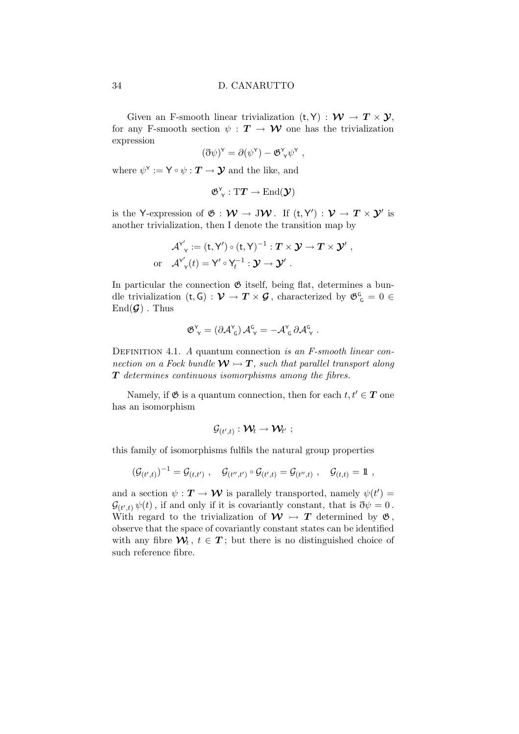Given an F-smooth linear trivialization  $(t, Y) : \mathcal{W} \to T \times \mathcal{Y}$ , for any F-smooth section  $\psi : \mathbf{T} \to \mathcal{W}$  one has the trivialization expression

$$
(\eth \psi)^{\mathsf{Y}} = \partial(\psi^{\mathsf{Y}}) - \mathfrak{G}^{\mathsf{Y}}_{\mathsf{Y}} \psi^{\mathsf{Y}} ,
$$

where  $\psi^{\mathsf{Y}} := \mathsf{Y} \circ \psi : \mathbf{T} \to \mathbf{Y}$  and the like, and

$$
\mathfrak{G}^\mathsf{Y}_\mathsf{Y}:\mathrm{T}\boldsymbol{T}\to\mathrm{End}(\boldsymbol{\mathcal{Y}})
$$

is the Y-expression of  $\mathfrak{G} : \mathcal{W} \to J\mathcal{W}$ . If  $(t, Y') : \mathcal{V} \to T \times \mathcal{Y}'$  is another trivialization, then I denote the transition map by

$$
\mathcal{A}_{Y}^{Y'} := (t, Y') \circ (t, Y)^{-1} : T \times \mathcal{Y} \to T \times \mathcal{Y}' ,
$$
  
or 
$$
\mathcal{A}_{Y}^{Y'}(t) = Y' \circ Y_t^{-1} : \mathcal{Y} \to \mathcal{Y}' .
$$

In particular the connection  $\mathfrak G$  itself, being flat, determines a bundle trivialization  $(t, G) : \mathcal{V} \to T \times \mathcal{G}$ , characterized by  $\mathfrak{G}^{\mathsf{G}}_{\mathsf{G}} = 0 \in$  $\text{End}(\mathcal{G})$ . Thus

$$
\mathfrak{G}^{\mathsf{Y}}_{\gamma} = (\partial \mathcal{A}^{\mathsf{Y}}_{\mathsf{G}}) \mathcal{A}^{\mathsf{G}}_{\gamma} = -\mathcal{A}^{\mathsf{Y}}_{\mathsf{G}} \partial \mathcal{A}^{\mathsf{G}}_{\gamma}.
$$

DEFINITION 4.1. A quantum connection is an F-smooth linear connection on a Fock bundle  $\mathcal{W} \rightarrow \mathcal{T}$ , such that parallel transport along  $T$  determines continuous isomorphisms among the fibres.

Namely, if  $\mathfrak{G}$  is a quantum connection, then for each  $t, t' \in \mathbf{T}$  one has an isomorphism

$$
\mathcal{G}_{(t',t)}: \boldsymbol{\mathcal{W}}_t \rightarrow \boldsymbol{\mathcal{W}}_{t'} \ ;
$$

this family of isomorphisms fulfils the natural group properties

$$
(\mathcal{G}_{(t',t)})^{-1} = \mathcal{G}_{(t,t')} , \quad \mathcal{G}_{(t'',t')} \circ \mathcal{G}_{(t',t)} = \mathcal{G}_{(t'',t)} , \quad \mathcal{G}_{(t,t)} = 1 \, .
$$

and a section  $\psi : \mathbf{T} \to \mathbf{W}$  is parallely transported, namely  $\psi(t') =$  $\mathcal{G}_{(t',t)}\,\psi(t)$ , if and only if it is covariantly constant, that is  $\eth\psi=0$ . With regard to the trivialization of  $W \rightarrow T$  determined by  $\mathfrak{G}$ , observe that the space of covariantly constant states can be identified with any fibre  $\mathcal{W}_t$ ,  $t \in T$ ; but there is no distinguished choice of such reference fibre.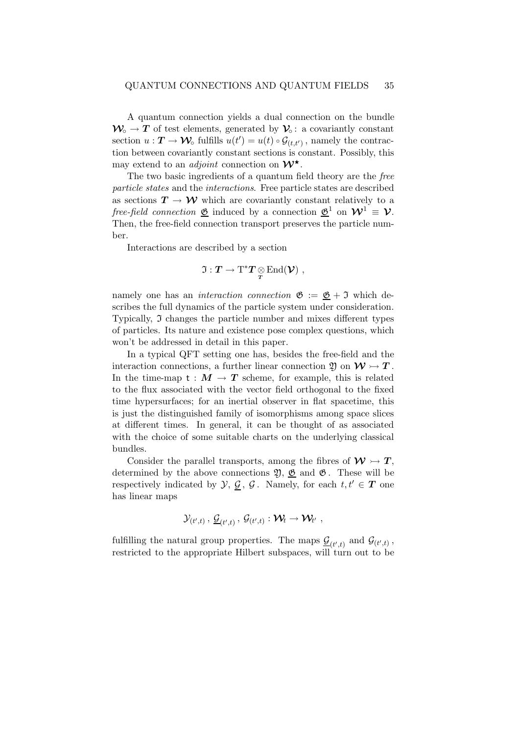A quantum connection yields a dual connection on the bundle  $\mathcal{W}_{\circ} \to T$  of test elements, generated by  $\mathcal{V}_{\circ}$ : a covariantly constant section  $u: \mathbf{T} \to \mathbf{W}$  fulfills  $u(t') = u(t) \circ \mathcal{G}_{(t,t')}$ , namely the contraction between covariantly constant sections is constant. Possibly, this may extend to an *adjoint* connection on  $W^*$ .

The two basic ingredients of a quantum field theory are the free particle states and the interactions. Free particle states are described as sections  $T \to W$  which are covariantly constant relatively to a free-field connection  $\underline{\mathfrak{G}}$  induced by a connection  $\underline{\mathfrak{G}}^1$  on  $\mathcal{W}^1 \equiv \mathcal{V}$ . Then, the free-field connection transport preserves the particle number.

Interactions are described by a section

$$
\mathfrak{I}: \boldsymbol{T} \to \mathrm{T}^* \boldsymbol{T} \underset{\boldsymbol{T}}{\otimes} \mathrm{End}(\boldsymbol{\mathcal{V}}) ,
$$

namely one has an *interaction connection*  $\mathfrak{G} := \mathfrak{G} + \mathfrak{I}$  which describes the full dynamics of the particle system under consideration. Typically, I changes the particle number and mixes different types of particles. Its nature and existence pose complex questions, which won't be addressed in detail in this paper.

In a typical QFT setting one has, besides the free-field and the interaction connections, a further linear connection  $\mathfrak{Y}$  on  $\mathcal{W} \rightarrow \mathcal{T}$ . In the time-map  $t : M \to T$  scheme, for example, this is related to the flux associated with the vector field orthogonal to the fixed time hypersurfaces; for an inertial observer in flat spacetime, this is just the distinguished family of isomorphisms among space slices at different times. In general, it can be thought of as associated with the choice of some suitable charts on the underlying classical bundles.

Consider the parallel transports, among the fibres of  $W \rightarrow T$ , determined by the above connections  $\mathfrak{Y}, \mathfrak{G}$  and  $\mathfrak{G}$ . These will be respectively indicated by  $\mathcal{Y}, \mathcal{G}, \mathcal{G}$ . Namely, for each  $t, t' \in \mathcal{T}$  one has linear maps

$$
\mathcal{Y}_{(t',t)} \, , \, \underline{\mathcal{G}}_{(t',t)} \, , \, \mathcal{G}_{(t',t)} : \boldsymbol{\mathcal{W}}_t \to \boldsymbol{\mathcal{W}}_{t'} \,\, ,
$$

fulfilling the natural group properties. The maps  $\underline{\mathcal{G}}_{(t',t)}$  and  $\mathcal{G}_{(t',t)}$ , restricted to the appropriate Hilbert subspaces, will turn out to be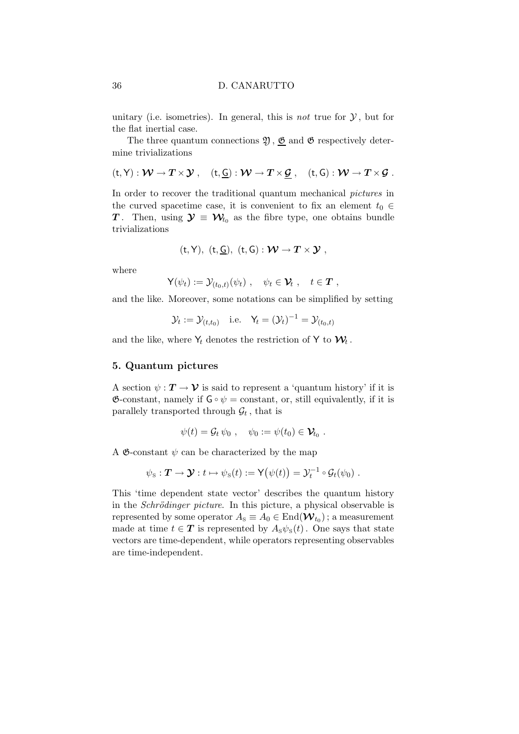unitary (i.e. isometries). In general, this is *not* true for  $\mathcal{Y}$ , but for the flat inertial case.

The three quantum connections  $\mathfrak{Y}, \mathfrak{G}$  and  $\mathfrak{G}$  respectively determine trivializations

$$
(t,Y):\mathcal{W}\rightarrow \boldsymbol{T}\times \mathcal{Y}\;,\quad (t,\underline{G}):\mathcal{W}\rightarrow \boldsymbol{T}\times \underline{\boldsymbol{\mathcal{G}}}\;,\quad (t,G):\mathcal{W}\rightarrow \boldsymbol{T}\times \boldsymbol{\mathcal{G}}\;.
$$

In order to recover the traditional quantum mechanical pictures in the curved spacetime case, it is convenient to fix an element  $t_0 \in$ **T**. Then, using  $\mathcal{Y} \equiv \mathcal{W}_{t_0}$  as the fibre type, one obtains bundle trivializations

$$
({\mathsf t},{\mathsf Y}),\ ({\mathsf t},\underline{\mathsf G}),\ ({\mathsf t},{\mathsf G}):{\boldsymbol{\mathcal W}}\to{\boldsymbol{T}}\times{\boldsymbol{\mathcal Y}}\ ,
$$

where

$$
\mathsf{Y}(\psi_t) := \mathcal{Y}_{(t_0,t)}(\psi_t) \; , \quad \psi_t \in \mathcal{V}_t \; , \quad t \in \mathcal{T} \; ,
$$

and the like. Moreover, some notations can be simplified by setting

$$
\mathcal{Y}_t := \mathcal{Y}_{(t,t_0)}
$$
 i.e.  $Y_t = (\mathcal{Y}_t)^{-1} = \mathcal{Y}_{(t_0,t)}$ 

and the like, where  $Y_t$  denotes the restriction of Y to  $\mathcal{W}_t$ .

## 5. Quantum pictures

A section  $\psi : T \to V$  is said to represent a 'quantum history' if it is G-constant, namely if  $G \circ \psi = constant$ , or, still equivalently, if it is parallely transported through  $\mathcal{G}_t$ , that is

$$
\psi(t) = \mathcal{G}_t \psi_0 , \quad \psi_0 := \psi(t_0) \in \mathcal{V}_{t_0} .
$$

A  $\mathfrak{G}\text{-constant}\psi$  can be characterized by the map

$$
\psi_{\rm S}: \mathbf{T} \to \mathbf{Y}: t \mapsto \psi_{\rm S}(t) := \mathsf{Y}\big(\psi(t)\big) = \mathcal{Y}_t^{-1} \circ \mathcal{G}_t(\psi_0) \ .
$$

This 'time dependent state vector' describes the quantum history in the Schrödinger picture. In this picture, a physical observable is represented by some operator  $A_{\text{\tiny S}}\equiv A_0\in\text{End}(\mathcal{W}_{t_0})$  ; a measurement made at time  $t \in T$  is represented by  $A_s \psi_s(t)$ . One says that state vectors are time-dependent, while operators representing observables are time-independent.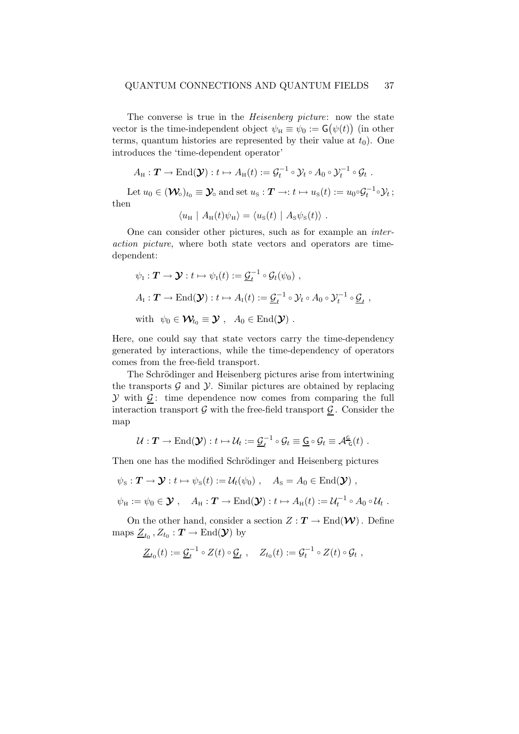The converse is true in the Heisenberg picture: now the state vector is the time-independent object  $\psi_{\text{H}} \equiv \psi_0 := \mathsf{G}(\psi(t))$  (in other terms, quantum histories are represented by their value at  $t_0$ ). One introduces the 'time-dependent operator'

$$
A_{\mathrm{H}}: \mathbf{T} \to \mathrm{End}(\mathbf{\mathcal{Y}}): t \mapsto A_{\mathrm{H}}(t) := \mathcal{G}_t^{-1} \circ \mathcal{Y}_t \circ A_0 \circ \mathcal{Y}_t^{-1} \circ \mathcal{G}_t.
$$

Let  $u_0 \in (\mathcal{W}_0)_{t_0} \equiv \mathcal{Y}_0$  and set  $u_{\mathrm{S}} : \mathcal{T} \to : t \mapsto u_{\mathrm{S}}(t) := u_0 \circ \mathcal{G}_t^{-1} \circ \mathcal{Y}_t$ ; then

$$
\langle u_{\rm H} | A_{\rm H}(t)\psi_{\rm H}\rangle = \langle u_{\rm S}(t) | A_{\rm S}\psi_{\rm S}(t)\rangle.
$$

One can consider other pictures, such as for example an interaction picture, where both state vectors and operators are timedependent:

$$
\psi_{I}: \mathbf{T} \to \mathbf{y}: t \mapsto \psi_{I}(t) := \underline{\mathcal{G}}_{t}^{-1} \circ \mathcal{G}_{t}(\psi_{0}),
$$
  
\n
$$
A_{I}: \mathbf{T} \to \text{End}(\mathbf{y}): t \mapsto A_{I}(t) := \underline{\mathcal{G}}_{t}^{-1} \circ \mathcal{Y}_{t} \circ A_{0} \circ \mathcal{Y}_{t}^{-1} \circ \underline{\mathcal{G}}_{t},
$$
  
\nwith  $\psi_{0} \in \mathbf{W}_{t_{0}} \equiv \mathbf{y}, \quad A_{0} \in \text{End}(\mathbf{Y})$ .

Here, one could say that state vectors carry the time-dependency generated by interactions, while the time-dependency of operators comes from the free-field transport.

The Schrödinger and Heisenberg pictures arise from intertwining the transports  $\mathcal G$  and  $\mathcal Y$ . Similar pictures are obtained by replacing  $\mathcal Y$  with  $\mathcal G$ : time dependence now comes from comparing the full interaction transport  $G$  with the free-field transport  $G$ . Consider the map

$$
\mathcal{U}: \mathbf{T} \to \mathrm{End}(\mathbf{\mathcal{Y}}): t \mapsto \mathcal{U}_t := \underline{\mathcal{G}}_t^{-1} \circ \mathcal{G}_t \equiv \underline{\mathsf{G}} \circ \mathcal{G}_t \equiv \mathcal{A}_{\mathsf{G}}^{\mathsf{G}}(t) .
$$

Then one has the modified Schrödinger and Heisenberg pictures

$$
\psi_{\mathcal{S}} : \mathbf{T} \to \mathbf{y} : t \mapsto \psi_{\mathcal{S}}(t) := \mathcal{U}_t(\psi_0) , \quad A_{\mathcal{S}} = A_0 \in \text{End}(\mathbf{y}) ,
$$
  

$$
\psi_{\mathcal{H}} := \psi_0 \in \mathbf{y} , \quad A_{\mathcal{H}} : \mathbf{T} \to \text{End}(\mathbf{y}) : t \mapsto A_{\mathcal{H}}(t) := \mathcal{U}_t^{-1} \circ A_0 \circ \mathcal{U}_t
$$

.

On the other hand, consider a section  $Z: T \to \text{End}(\mathcal{W})$ . Define maps  $\underline{Z}_{t_0}$ ,  $Z_{t_0} : \mathbf{T} \to \text{End}(\mathbf{\mathcal{Y}})$  by

$$
\underline{Z}_{t_0}(t) := \underline{\mathcal{G}}_t^{-1} \circ Z(t) \circ \underline{\mathcal{G}}_t , \quad Z_{t_0}(t) := \mathcal{G}_t^{-1} \circ Z(t) \circ \mathcal{G}_t ,
$$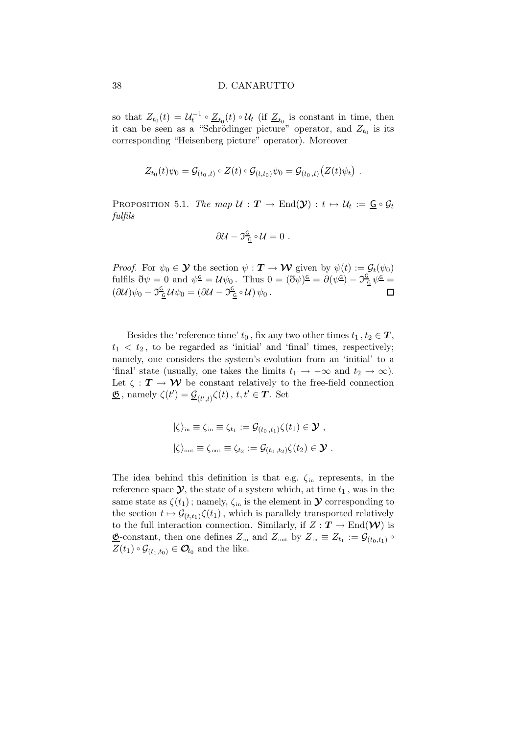so that  $Z_{t_0}(t) = U_t^{-1} \circ \underline{Z}_{t_0}(t) \circ U_t$  (if  $\underline{Z}_{t_0}$  is constant in time, then it can be seen as a "Schrödinger picture" operator, and  $Z_{t_0}$  is its corresponding "Heisenberg picture" operator). Moreover

$$
Z_{t_0}(t)\psi_0 = \mathcal{G}_{(t_0,t)} \circ Z(t) \circ \mathcal{G}_{(t,t_0)}\psi_0 = \mathcal{G}_{(t_0,t)}(Z(t)\psi_t) .
$$

PROPOSITION 5.1. The map  $\mathcal{U}: \mathbf{T} \to \text{End}(\mathbf{\mathcal{Y}}): t \mapsto \mathcal{U}_t := \underline{\mathsf{G}} \circ \mathcal{G}_t$ fulfils

$$
\partial \mathcal{U} - \mathfrak{I}^{\underline{\mathsf{G}}}_{\underline{\mathsf{G}}} \circ \mathcal{U} = 0 \ .
$$

*Proof.* For  $\psi_0 \in \mathcal{Y}$  the section  $\psi : \mathcal{T} \to \mathcal{W}$  given by  $\psi(t) := \mathcal{G}_t(\psi_0)$ fulfils  $\eth \psi = 0$  and  $\psi^{\underline{\mathsf{G}}} = \mathcal{U}\psi_0$ . Thus  $0 = (\eth \psi)^{\underline{\mathsf{G}}} = \partial(\psi^{\underline{\mathsf{G}}}) - \mathcal{J}^{\underline{\mathsf{G}}}_{\underline{\mathsf{G}}}\psi^{\underline{\mathsf{G}}} =$  $(\partial \mathcal{U})\psi_0 - \Im \frac{\mathcal{G}}{\mathcal{Q}} \mathcal{U}\psi_0 = (\partial \mathcal{U} - \Im \frac{\mathcal{G}}{\mathcal{Q}} \circ \mathcal{U})\psi_0.$  $\Box$ 

Besides the 'reference time'  $t_0$ , fix any two other times  $t_1, t_2 \in T$ ,  $t_1 < t_2$ , to be regarded as 'initial' and 'final' times, respectively; namely, one considers the system's evolution from an 'initial' to a 'final' state (usually, one takes the limits  $t_1 \rightarrow -\infty$  and  $t_2 \rightarrow \infty$ ). Let  $\zeta : T \to W$  be constant relatively to the free-field connection  $\underline{\mathfrak{G}}$ , namely  $\zeta(t') = \underline{\mathcal{G}}_{(t',t)} \zeta(t)$ ,  $t, t' \in \mathbf{T}$ . Set

$$
|\zeta\rangle_{\text{in}} \equiv \zeta_{\text{in}} \equiv \zeta_{t_1} := \mathcal{G}_{(t_0, t_1)}\zeta(t_1) \in \mathcal{Y},
$$
  

$$
|\zeta\rangle_{\text{out}} \equiv \zeta_{\text{out}} \equiv \zeta_{t_2} := \mathcal{G}_{(t_0, t_2)}\zeta(t_2) \in \mathcal{Y}.
$$

The idea behind this definition is that e.g.  $\zeta$ <sub>in</sub> represents, in the reference space  $\mathcal{Y}$ , the state of a system which, at time  $t_1$ , was in the same state as  $\zeta(t_1)$ ; namely,  $\zeta$ <sub>in</sub> is the element in  $\mathbfcal{Y}$  corresponding to the section  $t \mapsto \mathcal{G}_{(t,t_1)}(\zeta(t_1))$ , which is parallely transported relatively to the full interaction connection. Similarly, if  $Z : T \to \text{End}(\mathcal{W})$  is  $\underline{\mathfrak{G}}$ -constant, then one defines  $Z_{\text{in}}$  and  $Z_{\text{out}}$  by  $Z_{\text{in}} \equiv Z_{t_1} := \mathcal{G}_{(t_0,t_1)}$  $Z(t_1) \circ \mathcal{G}_{(t_1,t_0)} \in \mathcal{O}_{t_0}$  and the like.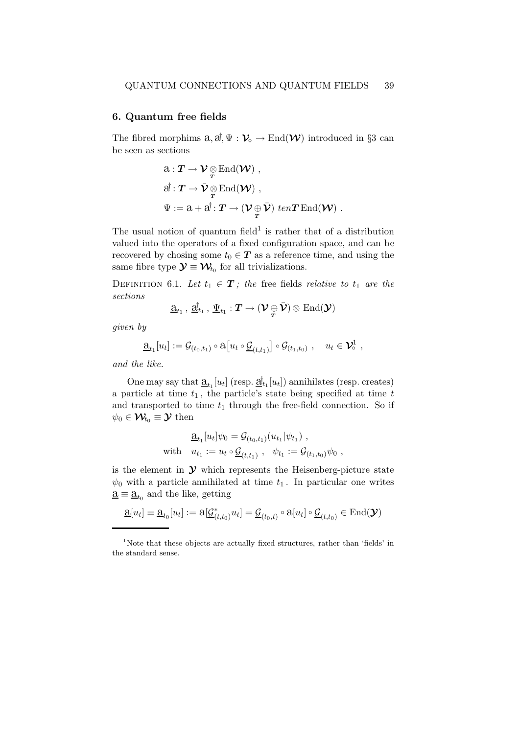#### 6. Quantum free fields

The fibred morphims  $a, a, \' \Psi : \mathcal{V} \to \text{End}(\mathcal{W})$  introduced in §3 can be seen as sections

$$
a: T \to \mathcal{V} \underset{T}{\otimes} \text{End}(\mathcal{W}) ,
$$
  

$$
a^{\dagger}: T \to \overline{\mathcal{V}} \underset{T}{\otimes} \text{End}(\mathcal{W}) ,
$$
  

$$
\Psi := a + a^{\dagger}: T \to (\mathcal{V} \underset{T}{\oplus} \overline{\mathcal{V}}) \text{ tenT End}(\mathcal{W}) .
$$

The usual notion of quantum field<sup>1</sup> is rather that of a distribution valued into the operators of a fixed configuration space, and can be recovered by chosing some  $t_0 \in T$  as a reference time, and using the same fibre type  $\mathcal{Y} \equiv \mathcal{W}_{t_0}$  for all trivializations.

DEFINITION 6.1. Let  $t_1 \in T$ ; the free fields relative to  $t_1$  are the sections

$$
\underline{\mathrm{a}}_{t_1}\,,\,\underline{\mathrm{a}}_{t_1}^\dagger\,,\,\underline{\Psi}_{t_1}: \boldsymbol{T} \to (\boldsymbol{\mathcal{V}} \oplus \bar{\boldsymbol{\mathcal{V}}}) \otimes \, \mathrm{End}(\boldsymbol{\mathcal{Y}})
$$

given by

$$
\underline{\mathbf{a}}_{t_1}[u_t] := \mathcal{G}_{(t_0,t_1)} \circ \mathbf{a}[u_t \circ \underline{\mathcal{G}}_{(t,t_1)}] \circ \mathcal{G}_{(t_1,t_0)}, \quad u_t \in \mathcal{V}^1_{\circ},
$$

and the like.

One may say that  $\underline{a}_{t_1}[u_t]$  (resp.  $\underline{d}_{t_1}^{\dagger}[u_t]$ ) annihilates (resp. creates) a particle at time  $t_1$ , the particle's state being specified at time  $t$ and transported to time  $t_1$  through the free-field connection. So if  $\psi_0 \in \mathcal{W}_{t_0} \equiv \mathcal{Y}$  then

$$
\begin{aligned}\n\frac{\mathbf{a}_{t_1}[u_t]\psi_0 &= \mathcal{G}_{(t_0,t_1)}(u_{t_1}|\psi_{t_1}), \\
\text{with} \quad u_{t_1} &:= u_t \circ \underline{\mathcal{G}}_{(t,t_1)}, \quad \psi_{t_1} &:= \mathcal{G}_{(t_1,t_0)}\psi_0 \;,\n\end{aligned}
$$

is the element in  $\mathcal Y$  which represents the Heisenberg-picture state  $\psi_0$  with a particle annihilated at time  $t_1$ . In particular one writes  $\underline{a} \equiv \underline{a}_{t_0}$  and the like, getting

$$
\underline{\mathbf{a}}[u_t] \equiv \underline{\mathbf{a}}_{t_0}[u_t] := \mathbf{a}[\underline{\mathcal{G}}^*_{(t,t_0)}u_t] = \underline{\mathcal{G}}_{(t_0,t)} \circ \mathbf{a}[u_t] \circ \underline{\mathcal{G}}_{(t,t_0)} \in \text{End}(\mathbf{\mathcal{Y}})
$$

<sup>&</sup>lt;sup>1</sup>Note that these objects are actually fixed structures, rather than 'fields' in the standard sense.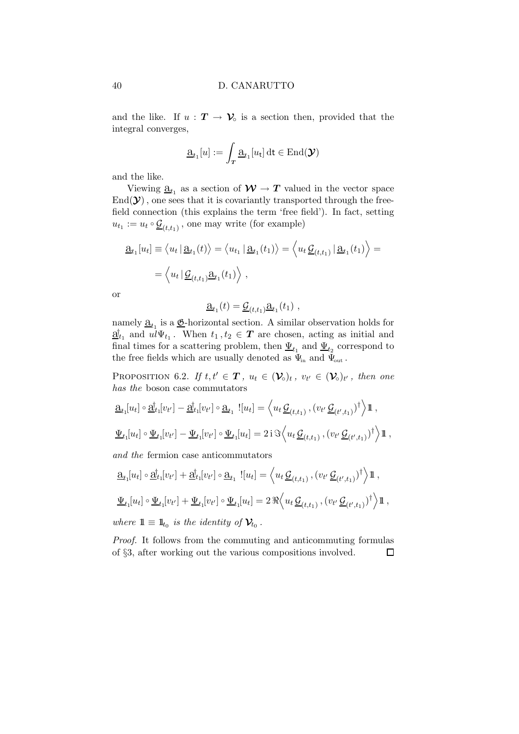and the like. If  $u : T \to V_0$  is a section then, provided that the integral converges,

$$
\underline{\mathbf{a}}_{t_1}[u]:=\int_{\bm{T}}\underline{\mathbf{a}}_{t_1}[u_{\mathsf{t}}]\,\mathrm{d}\mathsf{t}\in \mathrm{End}(\bm{\mathcal{Y}})
$$

and the like.

Viewing  $\underline{a}_{t_1}$  as a section of  $\mathcal{W} \to T$  valued in the vector space  $\mathrm{End}(\mathcal{Y})$  , one sees that it is covariantly transported through the freefield connection (this explains the term 'free field'). In fact, setting  $u_{t_1} := u_t \circ \underline{\mathcal{G}}_{(t,t_1)}$ , one may write (for example)

$$
\underline{\mathbf{a}}_{t_1}[u_t] \equiv \langle u_t | \underline{\mathbf{a}}_{t_1}(t) \rangle = \langle u_{t_1} | \underline{\mathbf{a}}_{t_1}(t_1) \rangle = \langle u_t \underline{\mathbf{G}}_{t_1}(t_1) \rangle =
$$
\n
$$
= \langle u_t | \underline{\mathbf{G}}_{t_1}(t_1) \rangle,
$$

or

$$
\underline{\mathbf{a}}_{t_1}(t) = \underline{\mathcal{G}}_{(t,t_1)} \underline{\mathbf{a}}_{t_1}(t_1) ,
$$

namely  $\underline{\mathbf{a}}_{t_1}$  is a  $\underline{\mathbf{C}}$ -horizontal section. A similar observation holds for  $\underline{\mathbf{a}}_{t_1}^{\dagger}$  and  $ul\Psi_{t_1}$ . When  $t_1, t_2 \in \mathbf{T}$  are chosen, acting as initial and final times for a scattering problem, then  $\underline{\Psi}_{t_1}$  and  $\underline{\Psi}_{t_2}$  correspond to the free fields which are usually denoted as  $\Psi_{\text{in}}$  and  $\Psi_{\text{out}}$ .

PROPOSITION 6.2. If  $t, t' \in T$ ,  $u_t \in (\mathcal{V}_0)_t$ ,  $v_{t'} \in (\mathcal{V}_0)_{t'}$ , then one has the boson case commutators

$$
\underline{\mathbf{a}}_{t_1}[u_t] \circ \underline{\mathbf{a}}_{t_1}^{\dagger}[v_{t'}] - \underline{\mathbf{a}}_{t_1}^{\dagger}[v_{t'}] \circ \underline{\mathbf{a}}_{t_1} \;![u_t] = \left\langle u_t \underline{\mathcal{G}}_{(t,t_1)}, (v_{t'} \underline{\mathcal{G}}_{(t',t_1)})^{\dagger} \right\rangle 1\!\!1,
$$
\n
$$
\underline{\Psi}_{t_1}[u_t] \circ \underline{\Psi}_{t_1}[v_{t'}] - \underline{\Psi}_{t_1}[v_{t'}] \circ \underline{\Psi}_{t_1}[u_t] = 2i \Im \left\langle u_t \underline{\mathcal{G}}_{(t,t_1)}, (v_{t'} \underline{\mathcal{G}}_{(t',t_1)})^{\dagger} \right\rangle 1\!\!1,
$$

and the fermion case anticommutators

$$
\underline{\mathbf{a}}_{t_1}[u_t] \circ \underline{\mathbf{a}}_{t_1}[v_{t'}] + \underline{\mathbf{a}}_{t_1}[v_{t'}] \circ \underline{\mathbf{a}}_{t_1} \;![u_t] = \left\langle u_t \underline{\mathcal{G}}_{(t,t_1)}, (v_{t'} \underline{\mathcal{G}}_{(t',t_1)})^{\dagger} \right\rangle \mathbb{1},
$$
\n
$$
\underline{\Psi}_{t_1}[u_t] \circ \underline{\Psi}_{t_1}[v_{t'}] + \underline{\Psi}_{t_1}[v_{t'}] \circ \underline{\Psi}_{t_1}[u_t] = 2 \Re \left\langle u_t \underline{\mathcal{G}}_{(t,t_1)}, (v_{t'} \underline{\mathcal{G}}_{(t',t_1)})^{\dagger} \right\rangle \mathbb{1},
$$
\nwhere  $\mathbb{1} \equiv \mathbb{1}_{t_0}$  is the identity of  $\mathcal{V}_{t_0}$ .

Proof. It follows from the commuting and anticommuting formulas of §3, after working out the various compositions involved. $\Box$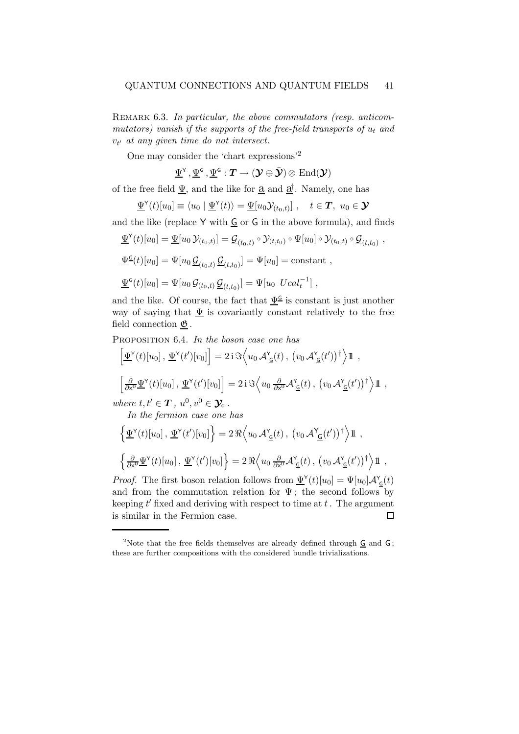REMARK 6.3. In particular, the above commutators (resp. anticommutators) vanish if the supports of the free-field transports of  $u_t$  and  $v_{t'}$  at any given time do not intersect.

One may consider the 'chart expressions'<sup>2</sup>

$$
\underline{\Psi}^{\sf v}\,,\underline{\Psi}^{\sf G}\,,\underline{\Psi}^{\sf G}: \boldsymbol{T}\to (\boldsymbol{\mathcal{Y}}\oplus\bar{\boldsymbol{\mathcal{Y}}})\otimes\, \mathrm{End}(\boldsymbol{\mathcal{Y}})
$$

of the free field  $\underline{\Psi}$ , and the like for  $\underline{\mathfrak{a}}$  and  $\underline{\mathfrak{d}}^{\dagger}$ . Namely, one has

$$
\underline{\Psi}^{\mathsf{Y}}(t)[u_0] \equiv \langle u_0 | \underline{\Psi}^{\mathsf{Y}}(t) \rangle = \underline{\Psi}[u_0 \mathcal{Y}_{(t_0,t)}], \quad t \in \mathbf{T}, \ u_0 \in \mathbf{Y}
$$

and the like (replace  $Y$  with  $G$  or  $G$  in the above formula), and finds

$$
\underline{\Psi}^{\mathsf{v}}(t)[u_0] = \underline{\Psi}[u_0 \mathcal{Y}_{(t_0,t)}] = \underline{\mathcal{G}}_{(t_0,t)} \circ \mathcal{Y}_{(t,t_0)} \circ \Psi[u_0] \circ \mathcal{Y}_{(t_0,t)} \circ \underline{\mathcal{G}}_{(t,t_0)},
$$
  

$$
\underline{\Psi}^{\mathsf{G}}(t)[u_0] = \Psi[u_0 \underline{\mathcal{G}}_{(t_0,t)} \underline{\mathcal{G}}_{(t,t_0)}] = \Psi[u_0] = \text{constant},
$$
  

$$
\underline{\Psi}^{\mathsf{G}}(t)[u_0] = \Psi[u_0 \mathcal{G}_{(t_0,t)} \underline{\mathcal{G}}_{(t,t_0)}] = \Psi[u_0 \ Ucal_{cal}_t^{-1}],
$$

and the like. Of course, the fact that  $\underline{\Psi}^{\underline{c}}$  is constant is just another way of saying that  $\Psi$  is covariantly constant relatively to the free field connection  $\mathfrak{G}$ .

PROPOSITION 6.4. In the boson case one has

$$
\left[\underline{\Psi}^{\mathsf{Y}}(t)[u_0], \underline{\Psi}^{\mathsf{Y}}(t')[v_0]\right] = 2\,\mathrm{i}\,\Im\Big\langle u_0\,\mathcal{A}^{\mathsf{Y}}_{\underline{\mathsf{G}}}(t), \, \big(v_0\,\mathcal{A}^{\mathsf{Y}}_{\underline{\mathsf{G}}}(t')\big)^\dagger\Big\rangle\mathbb{1} \;,
$$
\n
$$
\left[\frac{\partial}{\partial x^0}\underline{\Psi}^{\mathsf{Y}}(t)[u_0], \underline{\Psi}^{\mathsf{Y}}(t')[v_0]\right] = 2\,\mathrm{i}\,\Im\Big\langle u_0\,\frac{\partial}{\partial x^0}\mathcal{A}^{\mathsf{Y}}_{\underline{\mathsf{G}}}(t), \, \big(v_0\,\mathcal{A}^{\mathsf{Y}}_{\underline{\mathsf{G}}}(t')\big)^\dagger\Big\rangle\mathbb{1} \;,
$$

where  $t, t' \in T$ ,  $u^0, v^0 \in \mathcal{Y}_{\circ}$ .

In the fermion case one has

$$
\left\{ \underline{\Psi}^{\mathsf{Y}}(t)[u_0], \underline{\Psi}^{\mathsf{Y}}(t')[v_0] \right\} = 2 \Re \left\langle u_0 \mathcal{A}^{\mathsf{Y}}_{\underline{\mathsf{G}}}(t), (v_0 \mathcal{A}^{\mathsf{Y}}_{\underline{\mathsf{G}}}(t'))^{\dagger} \right\rangle \mathbb{1} ,
$$
  

$$
\left\{ \frac{\partial}{\partial x^0} \underline{\Psi}^{\mathsf{Y}}(t)[u_0], \underline{\Psi}^{\mathsf{Y}}(t')[v_0] \right\} = 2 \Re \left\langle u_0 \frac{\partial}{\partial x^0} \mathcal{A}^{\mathsf{Y}}_{\underline{\mathsf{G}}}(t), (v_0 \mathcal{A}^{\mathsf{Y}}_{\underline{\mathsf{G}}}(t'))^{\dagger} \right\rangle \mathbb{1} ,
$$

*Proof.* The first boson relation follows from  $\underline{\Psi}^{\mathsf{Y}}(t)[u_0] = \Psi[u_0] \mathcal{A}_{\underline{\mathsf{G}}}^{\mathsf{Y}}(t)$ and from the commutation relation for  $\Psi$ ; the second follows by keeping  $t'$  fixed and deriving with respect to time at  $t$ . The argument is similar in the Fermion case.  $\Box$ 

<sup>&</sup>lt;sup>2</sup>Note that the free fields themselves are already defined through  $\underline{G}$  and  $G$ ; these are further compositions with the considered bundle trivializations.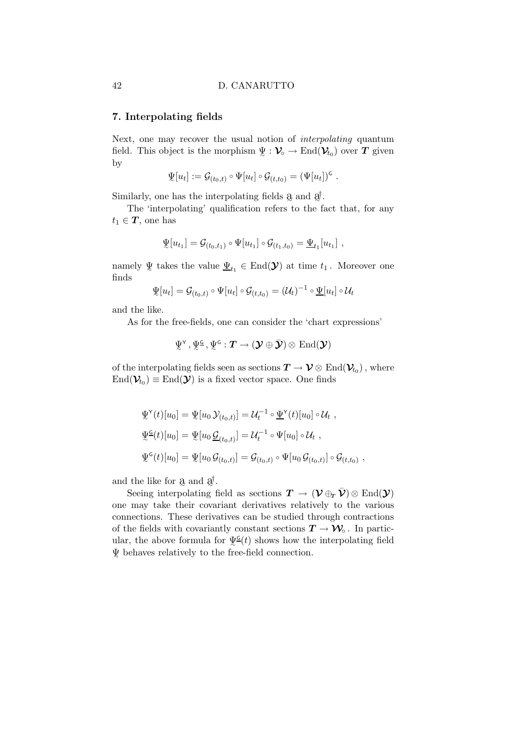## 7. Interpolating fields

Next, one may recover the usual notion of interpolating quantum field. This object is the morphism  $\Psi : \mathcal{V} \to \text{End}(\mathcal{V}_{t_0})$  over  $T$  given by

$$
\Psi[u_t] := \mathcal{G}_{(t_0,t)} \circ \Psi[u_t] \circ \mathcal{G}_{(t,t_0)} = (\Psi[u_t])^{\mathsf{G}}.
$$

Similarly, one has the interpolating fields  $\alpha$  and  $\alpha^{\dagger}$ .

The 'interpolating' qualification refers to the fact that, for any  $t_1 \in T$ , one has

$$
\Psi[u_{t_1}] = \mathcal{G}_{(t_0,t_1)} \circ \Psi[u_{t_1}] \circ \mathcal{G}_{(t_1,t_0)} = \underline{\Psi}_{t_1}[u_{t_1}],
$$

namely  $\Psi$  takes the value  $\underline{\Psi}_{t_1} \in \text{End}(\mathcal{Y})$  at time  $t_1$ . Moreover one finds

$$
\Psi[u_t] = \mathcal{G}_{(t_0,t)} \circ \Psi[u_t] \circ \mathcal{G}_{(t,t_0)} = (\mathcal{U}_t)^{-1} \circ \Psi[u_t] \circ \mathcal{U}_t
$$

and the like.

As for the free-fields, one can consider the 'chart expressions'

$$
\Psi^{\sf Y}\,,\Psi^{\sf G}\,,\Psi^{\sf G}: \boldsymbol{T}\to (\boldsymbol{\mathcal{Y}}\oplus\bar{\boldsymbol{\mathcal{Y}}})\otimes\,\mathrm{End}(\boldsymbol{\mathcal{Y}})
$$

of the interpolating fields seen as sections  $T \to \mathcal{V} \otimes \text{End}(\mathcal{V}_{t_0})$  , where  $\text{End}(\mathcal{V}_{t_0}) \equiv \text{End}(\mathcal{Y})$  is a fixed vector space. One finds

$$
\Psi^{\mathsf{Y}}(t)[u_0] = \Psi[u_0 \mathcal{Y}_{(t_0,t)}] = \mathcal{U}_t^{-1} \circ \Psi^{\mathsf{Y}}(t)[u_0] \circ \mathcal{U}_t ,
$$
  

$$
\Psi^{\mathsf{G}}(t)[u_0] = \Psi[u_0 \underline{\mathcal{G}}_{(t_0,t)}] = \mathcal{U}_t^{-1} \circ \Psi[u_0] \circ \mathcal{U}_t ,
$$
  

$$
\Psi^{\mathsf{G}}(t)[u_0] = \Psi[u_0 \mathcal{G}_{(t_0,t)}] = \mathcal{G}_{(t_0,t)} \circ \Psi[u_0 \mathcal{G}_{(t_0,t)}] \circ \mathcal{G}_{(t,t_0)}
$$

,

and the like for  $a^{\dagger}$  and  $a^{\dagger}$ .

Seeing interpolating field as sections  $T \to (\mathcal{V} \oplus_r \bar{\mathcal{V}}) \otimes \text{End}(\mathcal{Y})$ one may take their covariant derivatives relatively to the various connections. These derivatives can be studied through contractions of the fields with covariantly constant sections  $T \to \mathcal{W}_\circ$ . In particular, the above formula for  $\Psi^{\mathsf{G}}(t)$  shows how the interpolating field Ψ behaves relatively to the free-field connection. <sup>∼</sup>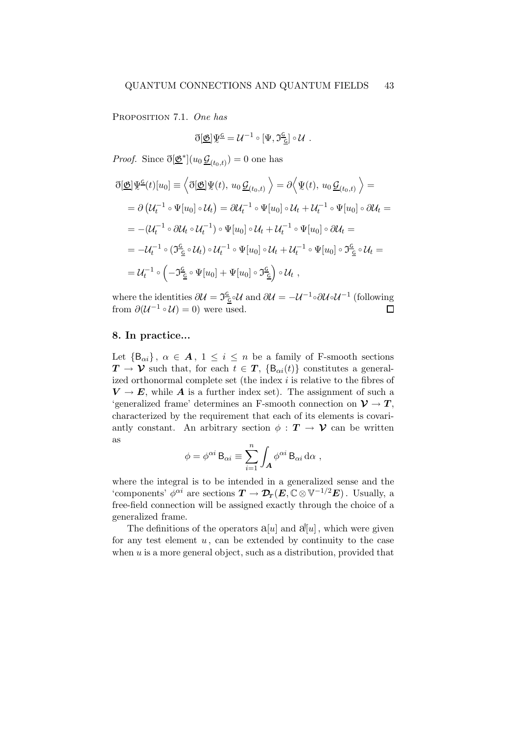PROPOSITION 7.1. One has

$$
\eth[\underline{\mathfrak{G}}]\underline{\Psi}^{\underline{\mathsf{G}}}=\mathcal{U}^{-1}\circ[\Psi,\mathfrak{I}^{\underline{\mathsf{G}}}_{\underline{\mathsf{G}}}] \circ \mathcal{U}\ .
$$

*Proof.* Since  $\overline{\partial}[\underline{\mathfrak{G}}^*](u_0 \underline{\mathcal{G}}_{(t_0,t)}) = 0$  one has

$$
\begin{split}\n\partial[\underline{\mathfrak{G}}]\Psi^{\underline{\mathfrak{G}}}(t)[u_{0}] &\equiv \left\langle \partial[\underline{\mathfrak{G}}]\Psi(t), u_{0}\underline{\mathcal{G}}_{(t_{0},t)} \right\rangle = \partial\left\langle \Psi(t), u_{0}\underline{\mathcal{G}}_{(t_{0},t)} \right\rangle = \\
&= \partial\left(\mathcal{U}_{t}^{-1} \circ \Psi[u_{0}] \circ \mathcal{U}_{t}\right) = \partial\mathcal{U}_{t}^{-1} \circ \Psi[u_{0}] \circ \mathcal{U}_{t} + \mathcal{U}_{t}^{-1} \circ \Psi[u_{0}] \circ \partial\mathcal{U}_{t} = \\
&= -(\mathcal{U}_{t}^{-1} \circ \partial\mathcal{U}_{t} \circ \mathcal{U}_{t}^{-1}) \circ \Psi[u_{0}] \circ \mathcal{U}_{t} + \mathcal{U}_{t}^{-1} \circ \Psi[u_{0}] \circ \partial\mathcal{U}_{t} = \\
&= -\mathcal{U}_{t}^{-1} \circ (\mathcal{I}_{\underline{\mathfrak{S}}}^{\underline{\mathfrak{G}}} \circ \mathcal{U}_{t}) \circ \mathcal{U}_{t}^{-1} \circ \Psi[u_{0}] \circ \mathcal{U}_{t} + \mathcal{U}_{t}^{-1} \circ \Psi[u_{0}] \circ \mathcal{I}_{\underline{\mathfrak{S}}}^{\underline{\mathfrak{S}}} \circ \mathcal{U}_{t} = \\
&= \mathcal{U}_{t}^{-1} \circ \left(-\mathcal{I}_{\underline{\mathfrak{S}}}^{\underline{\mathfrak{S}}} \circ \Psi[u_{0}] + \Psi[u_{0}] \circ \mathcal{I}_{\underline{\mathfrak{S}}}^{\underline{\mathfrak{S}}}\right) \circ \mathcal{U}_{t}\n\end{split}
$$

where the identities  $\partial \mathcal{U} = \mathcal{I}_{\underline{G}}^{\underline{G}} \circ \mathcal{U}$  and  $\partial \mathcal{U} = -\mathcal{U}^{-1} \circ \partial \mathcal{U} \circ \mathcal{U}^{-1}$  (following from  $\partial(\mathcal{U}^{-1} \circ \mathcal{U}) = 0$ ) were used.  $\Box$ 

## 8. In practice...

Let  ${B_{\alpha i}}$ ,  $\alpha \in A$ ,  $1 \leq i \leq n$  be a family of F-smooth sections  $T \to \mathcal{V}$  such that, for each  $t \in T$ ,  $\{B_{\alpha i}(t)\}\)$  constitutes a generalized orthonormal complete set (the index  $i$  is relative to the fibres of  $V \rightarrow E$ , while A is a further index set). The assignment of such a 'generalized frame' determines an F-smooth connection on  $\mathcal{V} \to T$ , characterized by the requirement that each of its elements is covariantly constant. An arbitrary section  $\phi : T \to V$  can be written as

$$
\phi = \phi^{\alpha i} \, \mathsf{B}_{\alpha i} \equiv \sum_{i=1}^{n} \int_{\mathbf{A}} \phi^{\alpha i} \, \mathsf{B}_{\alpha i} \, \mathrm{d}\alpha \ ,
$$

where the integral is to be intended in a generalized sense and the 'components'  $\phi^{\alpha i}$  are sections  $T \to \mathcal{D}_T(E,\mathbb{C} \otimes \mathbb{V}^{-1/2}E)$ . Usually, a free-field connection will be assigned exactly through the choice of a generalized frame.

The definitions of the operators  $a[u]$  and  $d[u]$ , which were given for any test element  $u$ , can be extended by continuity to the case when  $u$  is a more general object, such as a distribution, provided that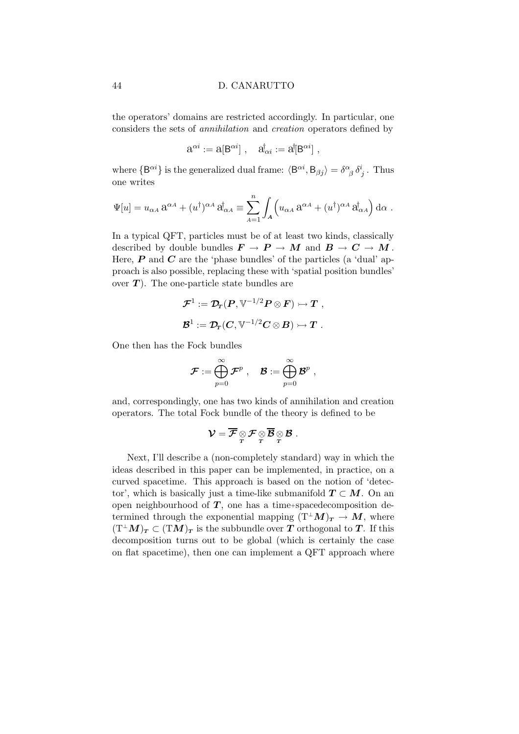the operators' domains are restricted accordingly. In particular, one considers the sets of annihilation and creation operators defined by

$$
a^{\alpha i} := a[B^{\alpha i}], \quad a^{\dagger}_{\alpha i} := a^{\dagger}[B^{\alpha i}],
$$

where  $\{B^{\alpha i}\}\$ is the generalized dual frame:  $\langle B^{\alpha i}, B_{\beta j}\rangle = \delta^\alpha_{\ \beta}\delta^i_{\ j}$ . Thus one writes

$$
\Psi[u] = u_{\alpha A} \mathop{\rm a}\nolimits^{\alpha A} + (u^{\dagger})^{\alpha A} \mathop{\rm d}\nolimits_{\alpha A}^{\dagger} \equiv \sum_{A=1}^{n} \int_{A} \left( u_{\alpha A} \mathop{\rm a}\nolimits^{\alpha A} + (u^{\dagger})^{\alpha A} \mathop{\rm d}\nolimits_{\alpha A}^{\dagger} \right) \mathop{\rm d}\nolimits\alpha \; .
$$

In a typical QFT, particles must be of at least two kinds, classically described by double bundles  $F \to P \to M$  and  $B \to C \to M$ . Here,  $P$  and  $C$  are the 'phase bundles' of the particles (a 'dual' approach is also possible, replacing these with 'spatial position bundles' over  $T$ ). The one-particle state bundles are

$$
\begin{array}{l} \mathcal{F}^1:=\mathcal{D}_\mathit{T}(P,\mathbb{V}^{-1/2}P\otimes F)\rightarrowtail T\ ,\\ \mathcal{B}^1:=\mathcal{D}_\mathit{T}(C,\mathbb{V}^{-1/2}C\otimes B)\rightarrowtail T\ .\end{array}
$$

One then has the Fock bundles

$$
\boldsymbol{\mathcal{F}} := \bigoplus_{p=0}^\infty \boldsymbol{\mathcal{F}}^p \ , \quad \boldsymbol{\mathcal{B}} := \bigoplus_{p=0}^\infty \boldsymbol{\mathcal{B}}^p \ ,
$$

and, correspondingly, one has two kinds of annihilation and creation operators. The total Fock bundle of the theory is defined to be

$$
\boldsymbol{\mathcal{V}}=\overline{\boldsymbol{\mathcal{F}}}\underset{T}{\otimes}\boldsymbol{\mathcal{F}}\underset{T}{\otimes}\overline{\boldsymbol{\mathcal{B}}}\underset{T}{\otimes}\boldsymbol{\mathcal{B}}\ .
$$

Next, I'll describe a (non-completely standard) way in which the ideas described in this paper can be implemented, in practice, on a curved spacetime. This approach is based on the notion of 'detector', which is basically just a time-like submanifold  $T \subset M$ . On an open neighbourhood of  $T$ , one has a time+spacedecomposition determined through the exponential mapping  $(T^{\perp}M)_T \to M$ , where  $(T^{\perp}M)_T \subset (TM)_T$  is the subbundle over T orthogonal to T. If this decomposition turns out to be global (which is certainly the case on flat spacetime), then one can implement a QFT approach where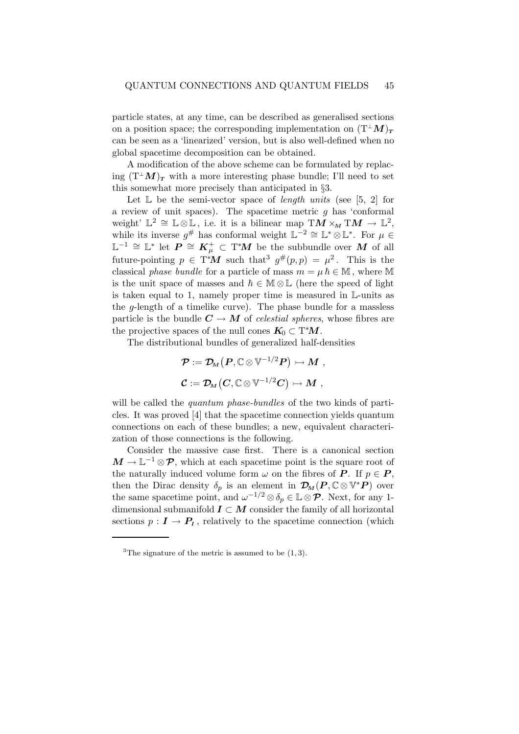particle states, at any time, can be described as generalised sections on a position space; the corresponding implementation on  $(T^{\perp}M)_T$ can be seen as a 'linearized' version, but is also well-defined when no global spacetime decomposition can be obtained.

A modification of the above scheme can be formulated by replacing  $(T^{\perp}M)_T$  with a more interesting phase bundle; I'll need to set this somewhat more precisely than anticipated in §3.

Let  $\mathbb L$  be the semi-vector space of *length units* (see [5, 2] for a review of unit spaces). The spacetime metric  $g$  has 'conformal weight'  $\mathbb{L}^2 \cong \mathbb{L} \otimes \mathbb{L}$ , i.e. it is a bilinear map  $TM \times_M TM \to \mathbb{L}^2$ , while its inverse  $g^{\#}$  has conformal weight  $\mathbb{L}^{-2} \cong \mathbb{L}^* \otimes \mathbb{L}^*$ . For  $\mu \in$  $\mathbb{L}^{-1} \cong \mathbb{L}^*$  let  $P \cong K^+_\mu \subset \mathrm{T}^*M$  be the subbundle over M of all future-pointing  $p \in T^*M$  such that  $g^{\#}(p, p) = \mu^2$ . This is the classical phase bundle for a particle of mass  $m = \mu \hbar \in \mathbb{M}$ , where M is the unit space of masses and  $h \in M \otimes L$  (here the speed of light is taken equal to 1, namely proper time is measured in L-units as the g-length of a timelike curve). The phase bundle for a massless particle is the bundle  $C \to M$  of *celestial spheres*, whose fibres are the projective spaces of the null cones  $K_0 \subset T^*M$ .

The distributional bundles of generalized half-densities

$$
\begin{array}{l} {\mathcal P} := {\mathcal D}_M \bigl(P, {\mathbb C} \otimes {\mathbb V}^{-1/2} P \bigr) \rightarrowtail M \ , \\[2mm] {\mathcal C} := {\mathcal D}_M \bigl( C, {\mathbb C} \otimes {\mathbb V}^{-1/2} C \bigr) \rightarrowtail M \ , \end{array}
$$

will be called the *quantum phase-bundles* of the two kinds of particles. It was proved [4] that the spacetime connection yields quantum connections on each of these bundles; a new, equivalent characterization of those connections is the following.

Consider the massive case first. There is a canonical section  $M \to \mathbb{L}^{-1} \otimes \mathcal{P}$ , which at each spacetime point is the square root of the naturally induced volume form  $\omega$  on the fibres of **P**. If  $p \in \mathbf{P}$ , then the Dirac density  $\delta_p$  is an element in  $\mathcal{D}_M(P, \mathbb{C} \otimes \mathbb{V}^*P)$  over the same spacetime point, and  $\omega^{-1/2} \otimes \delta_p \in \mathbb{L} \otimes \mathcal{P}$ . Next, for any 1dimensional submanifold  $I \subset M$  consider the family of all horizontal sections  $p: I \to P_I$ , relatively to the spacetime connection (which

 ${}^{3}$ The signature of the metric is assumed to be  $(1,3)$ .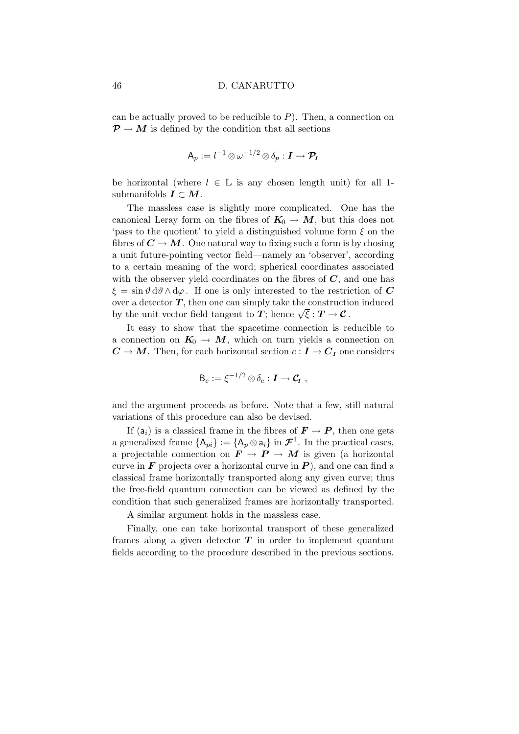can be actually proved to be reducible to  $P$ ). Then, a connection on  $\mathcal{P} \to M$  is defined by the condition that all sections

$$
\mathsf{A}_p := l^{-1} \otimes \omega^{-1/2} \otimes \delta_p : \mathbf{I} \to \mathcal{P}_I
$$

be horizontal (where  $l \in \mathbb{L}$  is any chosen length unit) for all 1submanifolds  $I \subset M$ .

The massless case is slightly more complicated. One has the canonical Leray form on the fibres of  $K_0 \to M$ , but this does not 'pass to the quotient' to yield a distinguished volume form  $\xi$  on the fibres of  $C \to M$ . One natural way to fixing such a form is by chosing a unit future-pointing vector field—namely an 'observer', according to a certain meaning of the word; spherical coordinates associated with the observer yield coordinates on the fibres of  $C$ , and one has  $\xi = \sin \vartheta \, d\vartheta \wedge d\varphi$ . If one is only interested to the restriction of C over a detector  $T$ , then one can simply take the construction induced by the unit vector field tangent to  $\overrightarrow{T}$ ; hence  $\sqrt{\xi}: T \to \mathcal{C}$ .

It easy to show that the spacetime connection is reducible to a connection on  $K_0 \to M$ , which on turn yields a connection on  $C \to M$ . Then, for each horizontal section  $c: I \to C_I$  one considers

$$
\mathsf{B}_c:=\xi^{-1/2}\otimes\delta_c:\mathbf{I}\to\mathbf{C}_{\mathbf{I}}\;,
$$

and the argument proceeds as before. Note that a few, still natural variations of this procedure can also be devised.

If  $(a_i)$  is a classical frame in the fibres of  $F \to P$ , then one gets a generalized frame  ${A_{pi}} := {A_p \otimes a_i}$  in  $\mathcal{F}^1$ . In the practical cases, a projectable connection on  $\mathbf{F} \to \mathbf{P} \to \mathbf{M}$  is given (a horizontal curve in  $\bf{F}$  projects over a horizontal curve in  $\bf{P}$ ), and one can find a classical frame horizontally transported along any given curve; thus the free-field quantum connection can be viewed as defined by the condition that such generalized frames are horizontally transported.

A similar argument holds in the massless case.

Finally, one can take horizontal transport of these generalized frames along a given detector  $T$  in order to implement quantum fields according to the procedure described in the previous sections.